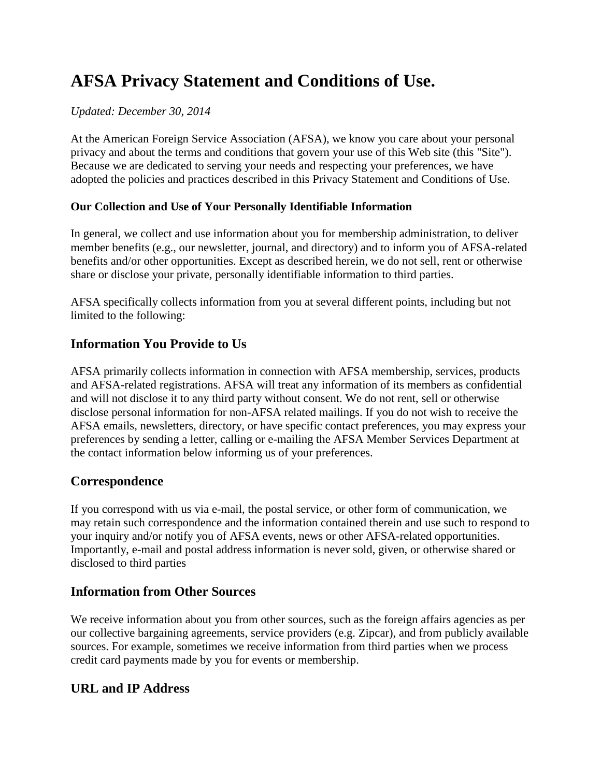# **AFSA Privacy Statement and Conditions of Use.**

#### *Updated: December 30, 2014*

At the American Foreign Service Association (AFSA), we know you care about your personal privacy and about the terms and conditions that govern your use of this Web site (this "Site"). Because we are dedicated to serving your needs and respecting your preferences, we have adopted the policies and practices described in this Privacy Statement and Conditions of Use.

## **Our Collection and Use of Your Personally Identifiable Information**

In general, we collect and use information about you for membership administration, to deliver member benefits (e.g., our newsletter, journal, and directory) and to inform you of AFSA-related benefits and/or other opportunities. Except as described herein, we do not sell, rent or otherwise share or disclose your private, personally identifiable information to third parties.

AFSA specifically collects information from you at several different points, including but not limited to the following:

# **Information You Provide to Us**

AFSA primarily collects information in connection with AFSA membership, services, products and AFSA-related registrations. AFSA will treat any information of its members as confidential and will not disclose it to any third party without consent. We do not rent, sell or otherwise disclose personal information for non-AFSA related mailings. If you do not wish to receive the AFSA emails, newsletters, directory, or have specific contact preferences, you may express your preferences by sending a letter, calling or e-mailing the AFSA Member Services Department at the contact information below informing us of your preferences.

# **Correspondence**

If you correspond with us via e-mail, the postal service, or other form of communication, we may retain such correspondence and the information contained therein and use such to respond to your inquiry and/or notify you of AFSA events, news or other AFSA-related opportunities. Importantly, e-mail and postal address information is never sold, given, or otherwise shared or disclosed to third parties

# **Information from Other Sources**

We receive information about you from other sources, such as the foreign affairs agencies as per our collective bargaining agreements, service providers (e.g. Zipcar), and from publicly available sources. For example, sometimes we receive information from third parties when we process credit card payments made by you for events or membership.

# **URL and IP Address**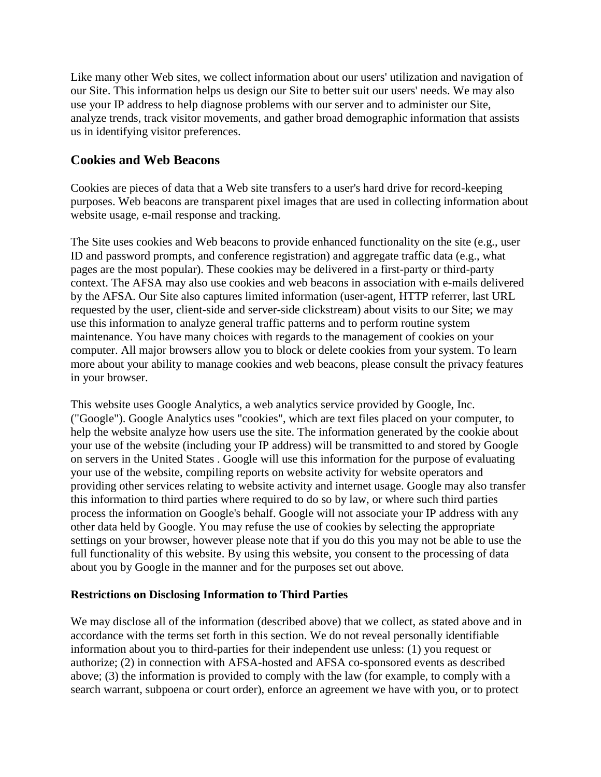Like many other Web sites, we collect information about our users' utilization and navigation of our Site. This information helps us design our Site to better suit our users' needs. We may also use your IP address to help diagnose problems with our server and to administer our Site, analyze trends, track visitor movements, and gather broad demographic information that assists us in identifying visitor preferences.

## **Cookies and Web Beacons**

Cookies are pieces of data that a Web site transfers to a user's hard drive for record-keeping purposes. Web beacons are transparent pixel images that are used in collecting information about website usage, e-mail response and tracking.

The Site uses cookies and Web beacons to provide enhanced functionality on the site (e.g., user ID and password prompts, and conference registration) and aggregate traffic data (e.g., what pages are the most popular). These cookies may be delivered in a first-party or third-party context. The AFSA may also use cookies and web beacons in association with e-mails delivered by the AFSA. Our Site also captures limited information (user-agent, HTTP referrer, last URL requested by the user, client-side and server-side clickstream) about visits to our Site; we may use this information to analyze general traffic patterns and to perform routine system maintenance. You have many choices with regards to the management of cookies on your computer. All major browsers allow you to block or delete cookies from your system. To learn more about your ability to manage cookies and web beacons, please consult the privacy features in your browser.

This website uses Google Analytics, a web analytics service provided by Google, Inc. ("Google"). Google Analytics uses "cookies", which are text files placed on your computer, to help the website analyze how users use the site. The information generated by the cookie about your use of the website (including your IP address) will be transmitted to and stored by Google on servers in the United States . Google will use this information for the purpose of evaluating your use of the website, compiling reports on website activity for website operators and providing other services relating to website activity and internet usage. Google may also transfer this information to third parties where required to do so by law, or where such third parties process the information on Google's behalf. Google will not associate your IP address with any other data held by Google. You may refuse the use of cookies by selecting the appropriate settings on your browser, however please note that if you do this you may not be able to use the full functionality of this website. By using this website, you consent to the processing of data about you by Google in the manner and for the purposes set out above.

#### **Restrictions on Disclosing Information to Third Parties**

We may disclose all of the information (described above) that we collect, as stated above and in accordance with the terms set forth in this section. We do not reveal personally identifiable information about you to third-parties for their independent use unless: (1) you request or authorize; (2) in connection with AFSA-hosted and AFSA co-sponsored events as described above; (3) the information is provided to comply with the law (for example, to comply with a search warrant, subpoena or court order), enforce an agreement we have with you, or to protect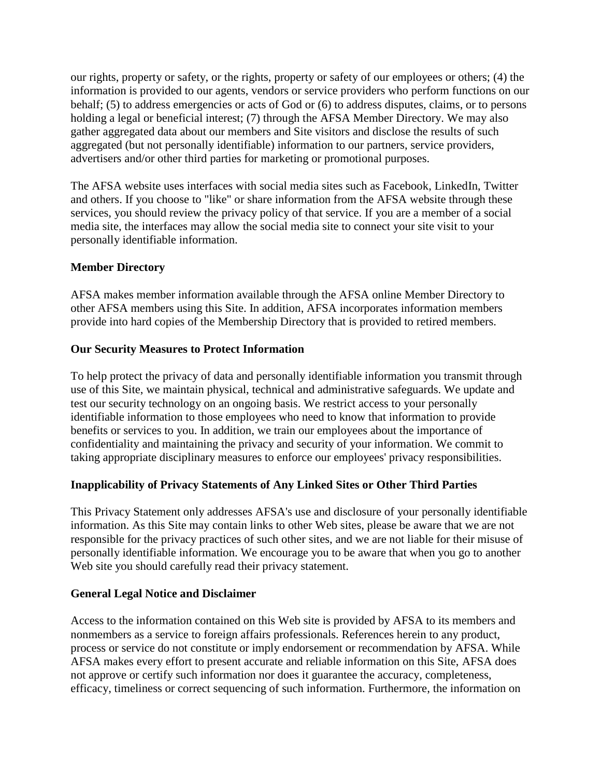our rights, property or safety, or the rights, property or safety of our employees or others; (4) the information is provided to our agents, vendors or service providers who perform functions on our behalf; (5) to address emergencies or acts of God or (6) to address disputes, claims, or to persons holding a legal or beneficial interest; (7) through the AFSA Member Directory. We may also gather aggregated data about our members and Site visitors and disclose the results of such aggregated (but not personally identifiable) information to our partners, service providers, advertisers and/or other third parties for marketing or promotional purposes.

The AFSA website uses interfaces with social media sites such as Facebook, LinkedIn, Twitter and others. If you choose to "like" or share information from the AFSA website through these services, you should review the privacy policy of that service. If you are a member of a social media site, the interfaces may allow the social media site to connect your site visit to your personally identifiable information.

#### **Member Directory**

AFSA makes member information available through the AFSA online Member Directory to other AFSA members using this Site. In addition, AFSA incorporates information members provide into hard copies of the Membership Directory that is provided to retired members.

#### **Our Security Measures to Protect Information**

To help protect the privacy of data and personally identifiable information you transmit through use of this Site, we maintain physical, technical and administrative safeguards. We update and test our security technology on an ongoing basis. We restrict access to your personally identifiable information to those employees who need to know that information to provide benefits or services to you. In addition, we train our employees about the importance of confidentiality and maintaining the privacy and security of your information. We commit to taking appropriate disciplinary measures to enforce our employees' privacy responsibilities.

#### **Inapplicability of Privacy Statements of Any Linked Sites or Other Third Parties**

This Privacy Statement only addresses AFSA's use and disclosure of your personally identifiable information. As this Site may contain links to other Web sites, please be aware that we are not responsible for the privacy practices of such other sites, and we are not liable for their misuse of personally identifiable information. We encourage you to be aware that when you go to another Web site you should carefully read their privacy statement.

#### **General Legal Notice and Disclaimer**

Access to the information contained on this Web site is provided by AFSA to its members and nonmembers as a service to foreign affairs professionals. References herein to any product, process or service do not constitute or imply endorsement or recommendation by AFSA. While AFSA makes every effort to present accurate and reliable information on this Site, AFSA does not approve or certify such information nor does it guarantee the accuracy, completeness, efficacy, timeliness or correct sequencing of such information. Furthermore, the information on